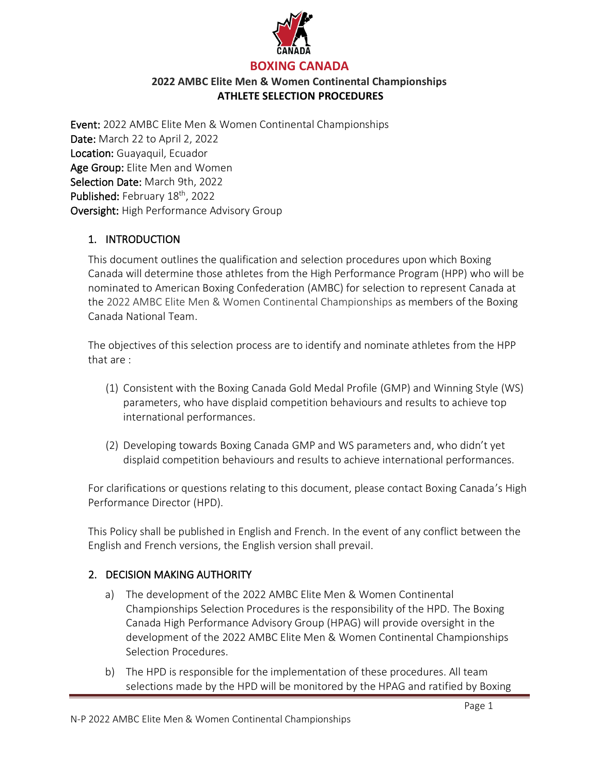

Event: 2022 AMBC Elite Men & Women Continental Championships Date: March 22 to April 2, 2022 Location: Guayaquil, Ecuador Age Group: Elite Men and Women Selection Date: March 9th, 2022 Published: February 18<sup>th</sup>, 2022 Oversight: High Performance Advisory Group

### 1. INTRODUCTION

This document outlines the qualification and selection procedures upon which Boxing Canada will determine those athletes from the High Performance Program (HPP) who will be nominated to American Boxing Confederation (AMBC) for selection to represent Canada at the 2022 AMBC Elite Men & Women Continental Championships as members of the Boxing Canada National Team.

The objectives of this selection process are to identify and nominate athletes from the HPP that are :

- (1) Consistent with the Boxing Canada Gold Medal Profile (GMP) and Winning Style (WS) parameters, who have displaid competition behaviours and results to achieve top international performances.
- (2) Developing towards Boxing Canada GMP and WS parameters and, who didn't yet displaid competition behaviours and results to achieve international performances.

For clarifications or questions relating to this document, please contact Boxing Canada's High Performance Director (HPD).

This Policy shall be published in English and French. In the event of any conflict between the English and French versions, the English version shall prevail.

## 2. DECISION MAKING AUTHORITY

- a) The development of the 2022 AMBC Elite Men & Women Continental Championships Selection Procedures is the responsibility of the HPD. The Boxing Canada High Performance Advisory Group (HPAG) will provide oversight in the development of the 2022 AMBC Elite Men & Women Continental Championships Selection Procedures.
- b) The HPD is responsible for the implementation of these procedures. All team selections made by the HPD will be monitored by the HPAG and ratified by Boxing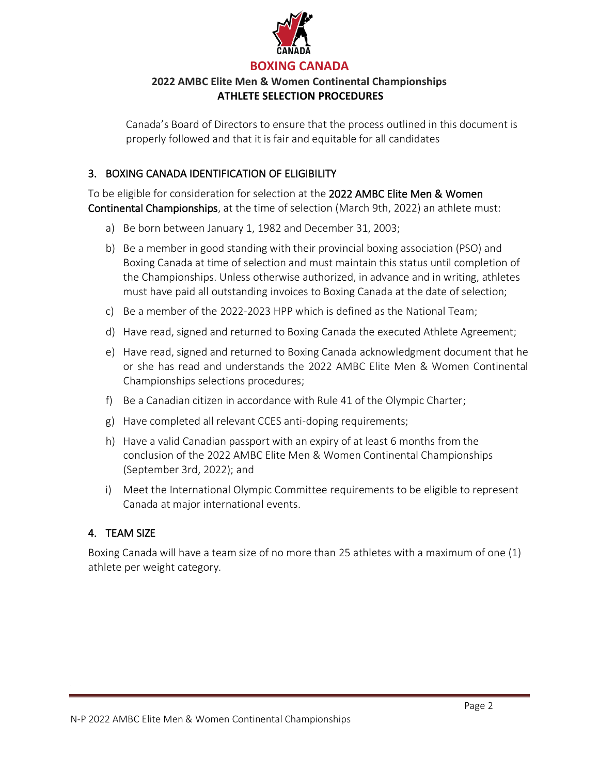

Canada's Board of Directors to ensure that the process outlined in this document is properly followed and that it is fair and equitable for all candidates

### 3. BOXING CANADA IDENTIFICATION OF ELIGIBILITY

To be eligible for consideration for selection at the 2022 AMBC Elite Men & Women Continental Championships, at the time of selection (March 9th, 2022) an athlete must:

- a) Be born between January 1, 1982 and December 31, 2003;
- b) Be a member in good standing with their provincial boxing association (PSO) and Boxing Canada at time of selection and must maintain this status until completion of the Championships. Unless otherwise authorized, in advance and in writing, athletes must have paid all outstanding invoices to Boxing Canada at the date of selection;
- c) Be a member of the 2022-2023 HPP which is defined as the National Team;
- d) Have read, signed and returned to Boxing Canada the executed Athlete Agreement;
- e) Have read, signed and returned to Boxing Canada acknowledgment document that he or she has read and understands the 2022 AMBC Elite Men & Women Continental Championships selections procedures;
- f) Be a Canadian citizen in accordance with Rule 41 of the Olympic Charter;
- g) Have completed all relevant CCES anti-doping requirements;
- h) Have a valid Canadian passport with an expiry of at least 6 months from the conclusion of the 2022 AMBC Elite Men & Women Continental Championships (September 3rd, 2022); and
- i) Meet the International Olympic Committee requirements to be eligible to represent Canada at major international events.

## 4. TEAM SIZE

Boxing Canada will have a team size of no more than 25 athletes with a maximum of one (1) athlete per weight category.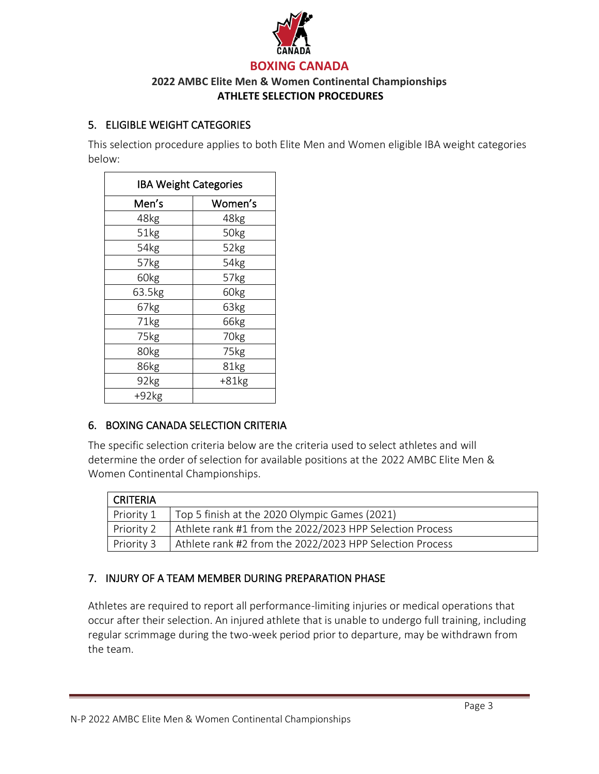

## 5. ELIGIBLE WEIGHT CATEGORIES

This selection procedure applies to both Elite Men and Women eligible IBA weight categories below:

| <b>IBA Weight Categories</b> |                  |
|------------------------------|------------------|
| Men's                        | Women's          |
| 48kg                         | 48kg             |
| 51kg                         | 50kg             |
| 54kg                         | 52kg             |
| 57kg                         | 54kg             |
| 60kg                         | 57kg             |
| 63.5kg                       | 60kg             |
| 67kg                         | 63kg             |
| 71kg                         | 66kg             |
| 75kg                         | 70 <sub>kg</sub> |
| 80kg                         | 75kg             |
| 86kg                         | 81kg             |
| 92kg                         | $+81kg$          |
| $+92kg$                      |                  |

## 6. BOXING CANADA SELECTION CRITERIA

The specific selection criteria below are the criteria used to select athletes and will determine the order of selection for available positions at the 2022 AMBC Elite Men & Women Continental Championships.

| CRITERIA   |                                                          |
|------------|----------------------------------------------------------|
| Priority 1 | Top 5 finish at the 2020 Olympic Games (2021)            |
| Priority 2 | Athlete rank #1 from the 2022/2023 HPP Selection Process |
| Priority 3 | Athlete rank #2 from the 2022/2023 HPP Selection Process |

## 7. INJURY OF A TEAM MEMBER DURING PREPARATION PHASE

Athletes are required to report all performance-limiting injuries or medical operations that occur after their selection. An injured athlete that is unable to undergo full training, including regular scrimmage during the two-week period prior to departure, may be withdrawn from the team.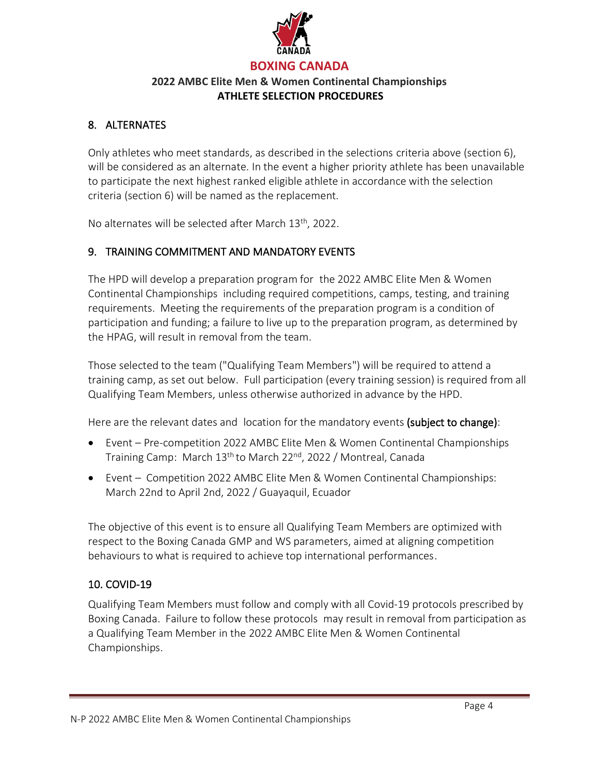

## 8. ALTERNATES

Only athletes who meet standards, as described in the selections criteria above (section 6), will be considered as an alternate. In the event a higher priority athlete has been unavailable to participate the next highest ranked eligible athlete in accordance with the selection criteria (section 6) will be named as the replacement.

No alternates will be selected after March 13<sup>th</sup>, 2022.

### 9. TRAINING COMMITMENT AND MANDATORY EVENTS

The HPD will develop a preparation program for the 2022 AMBC Elite Men & Women Continental Championships including required competitions, camps, testing, and training requirements. Meeting the requirements of the preparation program is a condition of participation and funding; a failure to live up to the preparation program, as determined by the HPAG, will result in removal from the team.

Those selected to the team ("Qualifying Team Members") will be required to attend a training camp, as set out below. Full participation (every training session) is required from all Qualifying Team Members, unless otherwise authorized in advance by the HPD.

Here are the relevant dates and location for the mandatory events (subject to change):

- Event Pre-competition 2022 AMBC Elite Men & Women Continental Championships Training Camp: March 13th to March 22nd, 2022 / Montreal, Canada
- Event Competition 2022 AMBC Elite Men & Women Continental Championships: March 22nd to April 2nd, 2022 / Guayaquil, Ecuador

The objective of this event is to ensure all Qualifying Team Members are optimized with respect to the Boxing Canada GMP and WS parameters, aimed at aligning competition behaviours to what is required to achieve top international performances.

### 10. COVID-19

Qualifying Team Members must follow and comply with all Covid-19 protocols prescribed by Boxing Canada. Failure to follow these protocols may result in removal from participation as a Qualifying Team Member in the 2022 AMBC Elite Men & Women Continental Championships.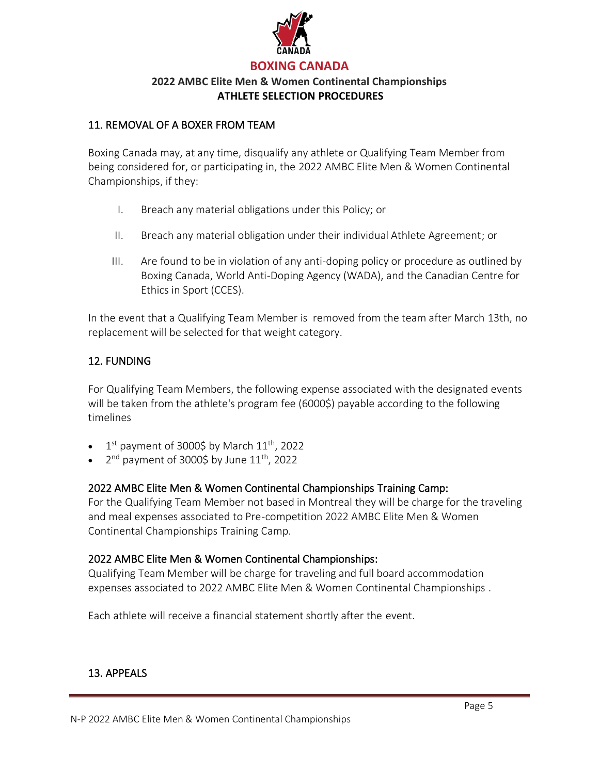

### 11. REMOVAL OF A BOXER FROM TEAM

Boxing Canada may, at any time, disqualify any athlete or Qualifying Team Member from being considered for, or participating in, the 2022 AMBC Elite Men & Women Continental Championships, if they:

- I. Breach any material obligations under this Policy; or
- II. Breach any material obligation under their individual Athlete Agreement; or
- III. Are found to be in violation of any anti-doping policy or procedure as outlined by Boxing Canada, World Anti-Doping Agency (WADA), and the Canadian Centre for Ethics in Sport (CCES).

In the event that a Qualifying Team Member is removed from the team after March 13th, no replacement will be selected for that weight category.

### 12. FUNDING

For Qualifying Team Members, the following expense associated with the designated events will be taken from the athlete's program fee (6000\$) payable according to the following timelines

- $\bullet$  1<sup>st</sup> payment of 3000\$ by March 11<sup>th</sup>, 2022
- 2<sup>nd</sup> payment of 3000\$ by June  $11^{\text{th}}$ , 2022

### 2022 AMBC Elite Men & Women Continental Championships Training Camp:

For the Qualifying Team Member not based in Montreal they will be charge for the traveling and meal expenses associated to Pre-competition 2022 AMBC Elite Men & Women Continental Championships Training Camp.

### 2022 AMBC Elite Men & Women Continental Championships:

Qualifying Team Member will be charge for traveling and full board accommodation expenses associated to 2022 AMBC Elite Men & Women Continental Championships .

Each athlete will receive a financial statement shortly after the event.

### 13. APPEALS